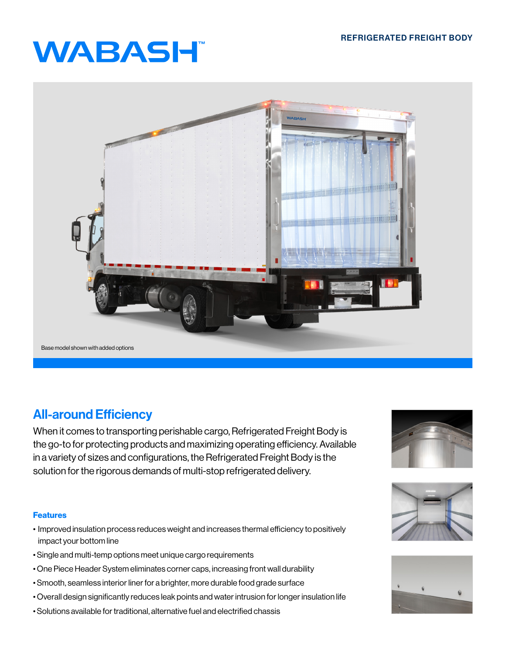# **WABASH**



## All-around Efficiency

When it comes to transporting perishable cargo, Refrigerated Freight Body is the go-to for protecting products and maximizing operating efficiency. Available in a variety of sizes and configurations, the Refrigerated Freight Body is the solution for the rigorous demands of multi-stop refrigerated delivery.

### Features

- Improved insulation process reduces weight and increases thermal efficiency to positively impact your bottom line
- Single and multi-temp options meet unique cargo requirements
- One Piece Header System eliminates corner caps, increasing front wall durability
- Smooth, seamless interior liner for a brighter, more durable food grade surface
- Overall design significantly reduces leak points and water intrusion for longer insulation life
- Solutions available for traditional, alternative fuel and electrified chassis